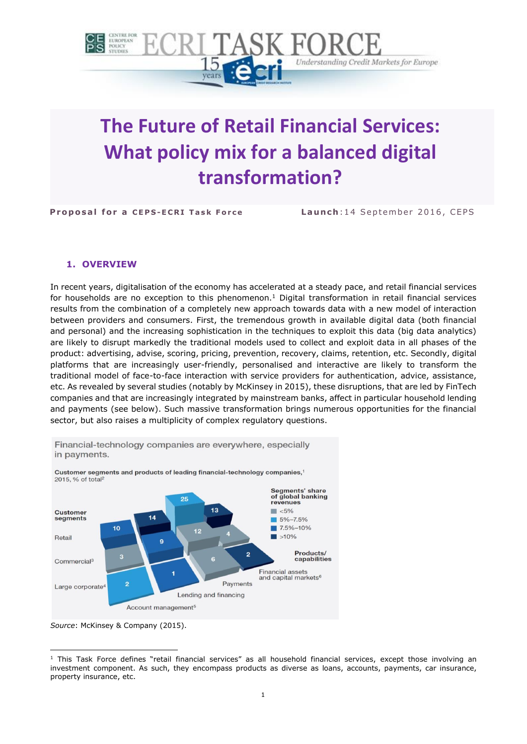

# **The Future of Retail Financial Services: What policy mix for a balanced digital transformation?**

**Proposal for a CEPS-ECRI Task Force Launch: 14 September 2016, CEPS** 

### **1. OVERVIEW**

In recent years, digitalisation of the economy has accelerated at a steady pace, and retail financial services for households are no exception to this phenomenon.<sup>1</sup> Digital transformation in retail financial services results from the combination of a completely new approach towards data with a new model of interaction between providers and consumers. First, the tremendous growth in available digital data (both financial and personal) and the increasing sophistication in the techniques to exploit this data (big data analytics) are likely to disrupt markedly the traditional models used to collect and exploit data in all phases of the product: advertising, advise, scoring, pricing, prevention, recovery, claims, retention, etc. Secondly, digital platforms that are increasingly user-friendly, personalised and interactive are likely to transform the traditional model of face-to-face interaction with service providers for authentication, advice, assistance, etc. As revealed by several studies (notably by McKinsey in 2015), these disruptions, that are led by FinTech companies and that are increasingly integrated by mainstream banks, affect in particular household lending and payments (see below). Such massive transformation brings numerous opportunities for the financial sector, but also raises a multiplicity of complex regulatory questions.



Financial-technology companies are everywhere, especially in payments.

*Source*: McKinsey & Company (2015).

 $\ddot{\phantom{a}}$  $1$  This Task Force defines "retail financial services" as all household financial services, except those involving an investment component. As such, they encompass products as diverse as loans, accounts, payments, car insurance, property insurance, etc.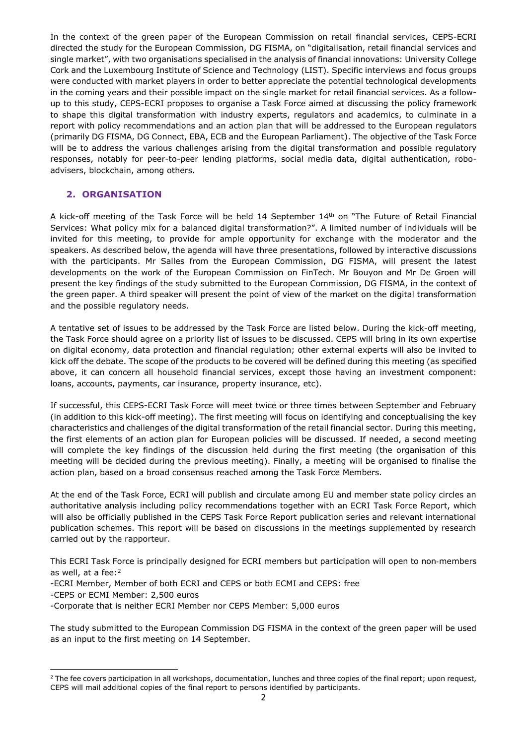In the context of the green paper of the European Commission on retail financial services, CEPS-ECRI directed the study for the European Commission, DG FISMA, on "digitalisation, retail financial services and single market", with two organisations specialised in the analysis of financial innovations: University College Cork and the Luxembourg Institute of Science and Technology (LIST). Specific interviews and focus groups were conducted with market players in order to better appreciate the potential technological developments in the coming years and their possible impact on the single market for retail financial services. As a followup to this study, CEPS-ECRI proposes to organise a Task Force aimed at discussing the policy framework to shape this digital transformation with industry experts, regulators and academics, to culminate in a report with policy recommendations and an action plan that will be addressed to the European regulators (primarily DG FISMA, DG Connect, EBA, ECB and the European Parliament). The objective of the Task Force will be to address the various challenges arising from the digital transformation and possible regulatory responses, notably for peer-to-peer lending platforms, social media data, digital authentication, roboadvisers, blockchain, among others.

## **2. ORGANISATION**

A kick-off meeting of the Task Force will be held 14 September 14<sup>th</sup> on "The Future of Retail Financial Services: What policy mix for a balanced digital transformation?". A limited number of individuals will be invited for this meeting, to provide for ample opportunity for exchange with the moderator and the speakers. As described below, the agenda will have three presentations, followed by interactive discussions with the participants. Mr Salles from the European Commission, DG FISMA, will present the latest developments on the work of the European Commission on FinTech. Mr Bouyon and Mr De Groen will present the key findings of the study submitted to the European Commission, DG FISMA, in the context of the green paper. A third speaker will present the point of view of the market on the digital transformation and the possible regulatory needs.

A tentative set of issues to be addressed by the Task Force are listed below. During the kick-off meeting, the Task Force should agree on a priority list of issues to be discussed. CEPS will bring in its own expertise on digital economy, data protection and financial regulation; other external experts will also be invited to kick off the debate. The scope of the products to be covered will be defined during this meeting (as specified above, it can concern all household financial services, except those having an investment component: loans, accounts, payments, car insurance, property insurance, etc).

If successful, this CEPS-ECRI Task Force will meet twice or three times between September and February (in addition to this kick-off meeting). The first meeting will focus on identifying and conceptualising the key characteristics and challenges of the digital transformation of the retail financial sector. During this meeting, the first elements of an action plan for European policies will be discussed. If needed, a second meeting will complete the key findings of the discussion held during the first meeting (the organisation of this meeting will be decided during the previous meeting). Finally, a meeting will be organised to finalise the action plan, based on a broad consensus reached among the Task Force Members.

At the end of the Task Force, ECRI will publish and circulate among EU and member state policy circles an authoritative analysis including policy recommendations together with an ECRI Task Force Report, which will also be officially published in the CEPS Task Force Report publication series and relevant international publication schemes. This report will be based on discussions in the meetings supplemented by research carried out by the rapporteur.

This ECRI Task Force is principally designed for ECRI members but participation will open to non‐members as well, at a fee:<sup>2</sup>

- -ECRI Member, Member of both ECRI and CEPS or both ECMI and CEPS: free
- -CEPS or ECMI Member: 2,500 euros

 $\overline{a}$ 

-Corporate that is neither ECRI Member nor CEPS Member: 5,000 euros

The study submitted to the European Commission DG FISMA in the context of the green paper will be used as an input to the first meeting on 14 September.

<sup>&</sup>lt;sup>2</sup> The fee covers participation in all workshops, documentation, lunches and three copies of the final report; upon request, CEPS will mail additional copies of the final report to persons identified by participants.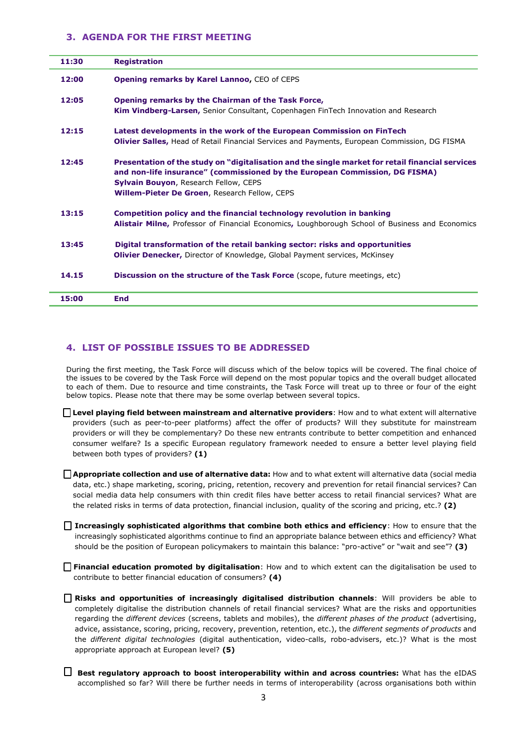#### **3. AGENDA FOR THE FIRST MEETING**

| 11:30 | <b>Registration</b>                                                                                                                                                                                                                                                                     |
|-------|-----------------------------------------------------------------------------------------------------------------------------------------------------------------------------------------------------------------------------------------------------------------------------------------|
| 12:00 | <b>Opening remarks by Karel Lannoo, CEO of CEPS</b>                                                                                                                                                                                                                                     |
| 12:05 | Opening remarks by the Chairman of the Task Force,                                                                                                                                                                                                                                      |
|       | <b>Kim Vindberg-Larsen, Senior Consultant, Copenhagen FinTech Innovation and Research</b>                                                                                                                                                                                               |
| 12:15 | Latest developments in the work of the European Commission on FinTech                                                                                                                                                                                                                   |
|       | Olivier Salles, Head of Retail Financial Services and Payments, European Commission, DG FISMA                                                                                                                                                                                           |
| 12:45 | Presentation of the study on "digitalisation and the single market for retail financial services<br>and non-life insurance" (commissioned by the European Commission, DG FISMA)<br><b>Sylvain Bouyon, Research Fellow, CEPS</b><br><b>Willem-Pieter De Groen, Research Fellow, CEPS</b> |
| 13:15 | Competition policy and the financial technology revolution in banking                                                                                                                                                                                                                   |
|       | Alistair Milne, Professor of Financial Economics, Loughborough School of Business and Economics                                                                                                                                                                                         |
| 13:45 | Digital transformation of the retail banking sector: risks and opportunities                                                                                                                                                                                                            |
|       | <b>Olivier Denecker, Director of Knowledge, Global Payment services, McKinsey</b>                                                                                                                                                                                                       |
| 14.15 | Discussion on the structure of the Task Force (scope, future meetings, etc)                                                                                                                                                                                                             |
| 15:00 | <b>End</b>                                                                                                                                                                                                                                                                              |

#### **4. LIST OF POSSIBLE ISSUES TO BE ADDRESSED**

During the first meeting, the Task Force will discuss which of the below topics will be covered. The final choice of the issues to be covered by the Task Force will depend on the most popular topics and the overall budget allocated to each of them. Due to resource and time constraints, the Task Force will treat up to three or four of the eight below topics. Please note that there may be some overlap between several topics.

- **Level playing field between mainstream and alternative providers**: How and to what extent will alternative providers (such as peer-to-peer platforms) affect the offer of products? Will they substitute for mainstream providers or will they be complementary? Do these new entrants contribute to better competition and enhanced consumer welfare? Is a specific European regulatory framework needed to ensure a better level playing field between both types of providers? **(1)**
- **Appropriate collection and use of alternative data:** How and to what extent will alternative data (social media data, etc.) shape marketing, scoring, pricing, retention, recovery and prevention for retail financial services? Can social media data help consumers with thin credit files have better access to retail financial services? What are the related risks in terms of data protection, financial inclusion, quality of the scoring and pricing, etc.? **(2)**
- **Increasingly sophisticated algorithms that combine both ethics and efficiency**: How to ensure that the increasingly sophisticated algorithms continue to find an appropriate balance between ethics and efficiency? What should be the position of European policymakers to maintain this balance: "pro-active" or "wait and see"? **(3)**
- **Financial education promoted by digitalisation**: How and to which extent can the digitalisation be used to contribute to better financial education of consumers? **(4)**

**Risks and opportunities of increasingly digitalised distribution channels**: Will providers be able to completely digitalise the distribution channels of retail financial services? What are the risks and opportunities regarding the *different devices* (screens, tablets and mobiles), the *different phases of the product* (advertising, advice, assistance, scoring, pricing, recovery, prevention, retention, etc.), the *different segments of products* and the *different digital technologies* (digital authentication, video-calls, robo-advisers, etc.)? What is the most appropriate approach at European level? **(5)**

**Best regulatory approach to boost interoperability within and across countries:** What has the eIDAS accomplished so far? Will there be further needs in terms of interoperability (across organisations both within